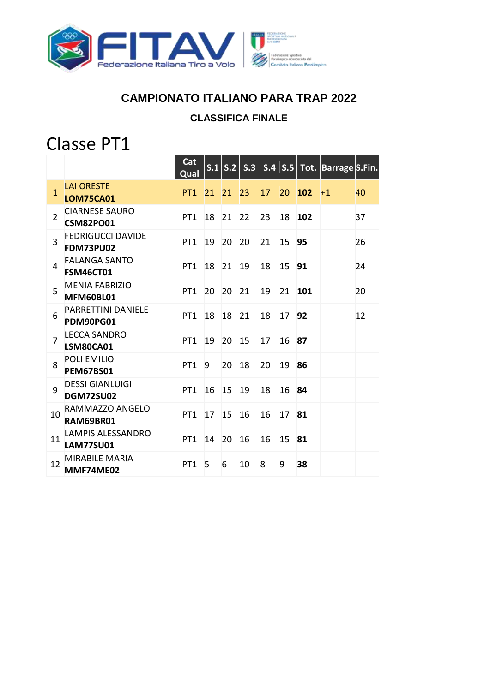

## **CAMPIONATO ITALIANO PARA TRAP 2022**

#### **CLASSIFICA FINALE**

# Classe PT1

|                |                                              | Cat<br>Qual     |    |    |    |    |       |            | S.1 $ S.2 $ S.3 $ S.4 $ S.5 Tot. Barrage S.Fin. |    |
|----------------|----------------------------------------------|-----------------|----|----|----|----|-------|------------|-------------------------------------------------|----|
| $\mathbf{1}$   | <b>LAI ORESTE</b><br><b>LOM75CA01</b>        | PT <sub>1</sub> | 21 | 21 | 23 | 17 | 20    | <b>102</b> | $+1$                                            | 40 |
| $\overline{2}$ | <b>CIARNESE SAURO</b><br><b>CSM82PO01</b>    | PT <sub>1</sub> | 18 | 21 | 22 | 23 | 18    | 102        |                                                 | 37 |
| $\overline{3}$ | <b>FEDRIGUCCI DAVIDE</b><br><b>FDM73PU02</b> | PT <sub>1</sub> | 19 | 20 | 20 | 21 | 15    | 95         |                                                 | 26 |
| 4              | <b>FALANGA SANTO</b><br><b>FSM46CT01</b>     | PT <sub>1</sub> | 18 | 21 | 19 | 18 | 15    | 91         |                                                 | 24 |
| 5              | <b>MENIA FABRIZIO</b><br>MFM60BL01           | PT <sub>1</sub> | 20 | 20 | 21 | 19 | 21    | 101        |                                                 | 20 |
| 6              | <b>PARRETTINI DANIELE</b><br>PDM90PG01       | PT <sub>1</sub> | 18 | 18 | 21 | 18 | 17 92 |            |                                                 | 12 |
| $\overline{7}$ | <b>LECCA SANDRO</b><br>LSM80CA01             | PT <sub>1</sub> | 19 | 20 | 15 | 17 | 16    | 87         |                                                 |    |
| 8              | POLI EMILIO<br><b>PEM67BS01</b>              | PT <sub>1</sub> | 9  | 20 | 18 | 20 | 19    | 86         |                                                 |    |
| 9              | <b>DESSI GIANLUIGI</b><br><b>DGM72SU02</b>   | PT <sub>1</sub> | 16 | 15 | 19 | 18 | 16    | 84         |                                                 |    |
| 10             | RAMMAZZO ANGELO<br>RAM69BR01                 | PT <sub>1</sub> | 17 | 15 | 16 | 16 | 17    | 81         |                                                 |    |
| 11             | <b>LAMPIS ALESSANDRO</b><br><b>LAM77SU01</b> | PT <sub>1</sub> | 14 | 20 | 16 | 16 | 15    | 81         |                                                 |    |
| 12             | <b>MIRABILE MARIA</b><br>MMF74ME02           | PT <sub>1</sub> | 5  | 6  | 10 | 8  | 9     | 38         |                                                 |    |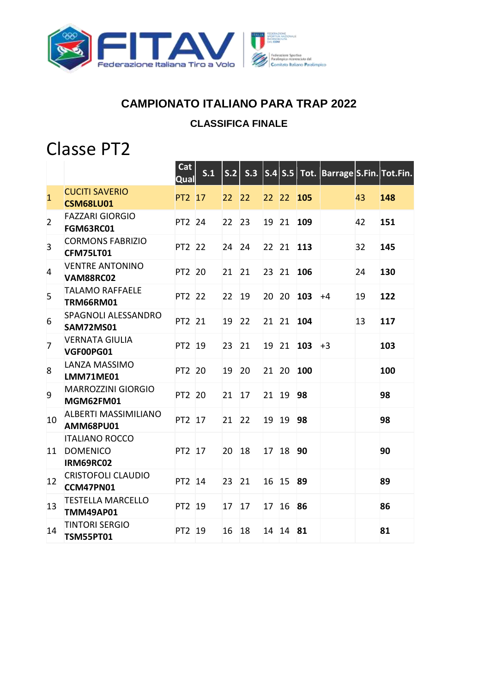

### **CAMPIONATO ITALIANO PARA TRAP 2022**

#### **CLASSIFICA FINALE**

## Classe PT2

|                |                                                       | Cat<br>Qual | S.1 |                 | S.2 S.3 |                 |           |            |      |    | $\overline{\left  \text{S.4} \right  \text{S.5} \left  \text{Tot.} \right }$ Barrage S.Fin. Tot.Fin. |
|----------------|-------------------------------------------------------|-------------|-----|-----------------|---------|-----------------|-----------|------------|------|----|------------------------------------------------------------------------------------------------------|
| $\overline{1}$ | <b>CUCITI SAVERIO</b><br><b>CSM68LU01</b>             | PT2 17      |     | 22              | 22      | 22 22           |           | 105        |      | 43 | 148                                                                                                  |
| $\overline{2}$ | <b>FAZZARI GIORGIO</b><br>FGM63RC01                   | PT2 24      |     | 22              | 23      | 19 21           |           | 109        |      | 42 | 151                                                                                                  |
| 3              | <b>CORMONS FABRIZIO</b><br>CFM75LT01                  | PT2 22      |     | 24              | 24      | 22 21           |           | <b>113</b> |      | 32 | 145                                                                                                  |
| 4              | <b>VENTRE ANTONINO</b><br><b>VAM88RC02</b>            | PT2 20      |     | 21              | 21      | 23 21           |           | 106        |      | 24 | 130                                                                                                  |
| 5              | <b>TALAMO RAFFAELE</b><br><b>TRM66RM01</b>            | PT2 22      |     | 22 <sup>2</sup> | 19      | 20 20           |           | 103        | $+4$ | 19 | 122                                                                                                  |
| 6              | <b>SPAGNOLI ALESSANDRO</b><br><b>SAM72MS01</b>        | PT2 21      |     | 19              | 22      |                 | 21 21     | 104        |      | 13 | 117                                                                                                  |
| $\overline{7}$ | <b>VERNATA GIULIA</b><br>VGF00PG01                    | PT2 19      |     | 23              | 21      | 19 21           |           | $103 + 3$  |      |    | 103                                                                                                  |
| 8              | <b>LANZA MASSIMO</b><br>LMM71ME01                     | PT2 20      |     | 19              | 20      | 21 20           |           | 100        |      |    | 100                                                                                                  |
| 9              | <b>MARROZZINI GIORGIO</b><br>MGM62FM01                | PT2 20      |     | 21              | 17      | 21              | 19        | 98         |      |    | 98                                                                                                   |
| 10             | <b>ALBERTI MASSIMILIANO</b><br><b>AMM68PU01</b>       | PT2 17      |     | 21              | 22      | 19 19           |           | 98         |      |    | 98                                                                                                   |
| 11             | <b>ITALIANO ROCCO</b><br><b>DOMENICO</b><br>IRM69RC02 | PT2 17      |     | 20              | 18      | 17 18           |           | 90         |      |    | 90                                                                                                   |
| 12             | <b>CRISTOFOLI CLAUDIO</b><br>CCM47PN01                | PT2 14      |     | 23              | 21      | 16 15           |           | 89         |      |    | 89                                                                                                   |
| 13             | <b>TESTELLA MARCELLO</b><br><b>TMM49AP01</b>          | PT2 19      |     | 17              | 17      | 17 <sup>2</sup> | <b>16</b> | 86         |      |    | 86                                                                                                   |
| 14             | <b>TINTORI SERGIO</b><br><b>TSM55PT01</b>             | PT2 19      |     | 16              | 18      | 14              | 14        | 81         |      |    | 81                                                                                                   |